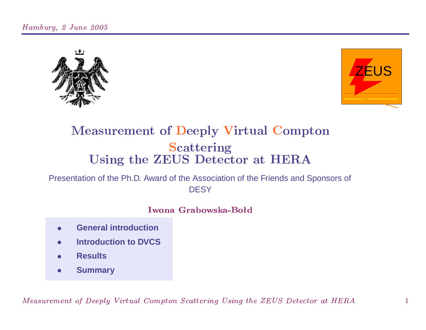



## **Measurement of Deeply Virtual Compton Scattering** Using the ZEUS Detector at HERA

### Presentation of the Ph.D. Award of the Association of the Friends and Sponsors of **DESY**

#### Iwona Grabowska-Bołd

- **General introduction**
- **Introduction to DVCS**
- **Results**
- **Summary**  $\bullet$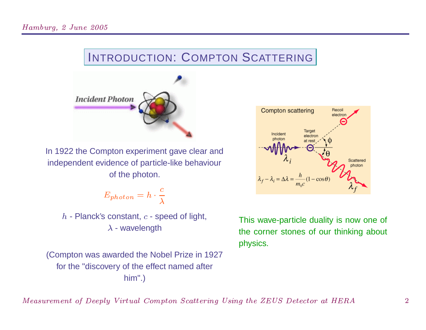# INTRODUCTION: COMPTON <sup>S</sup>CATTERING



In <sup>1922</sup> the Compton experiment gave clear and independent evidence of particle-like behaviour of the photon.

$$
E_{photon} = h \cdot \frac{c}{\lambda}
$$

- Planck's constant,  $c$  - speed of light, c- wavelength

 (Compton was awarded the Nobel Prize in <sup>1927</sup> for the "discovery of the effect named after him".)



This wave-particle duality is now one of the corner stones of our thinking about physics.

i Indian Barrament (1999) and the British Control of the Barrament Control of the Barrament Control of the Bar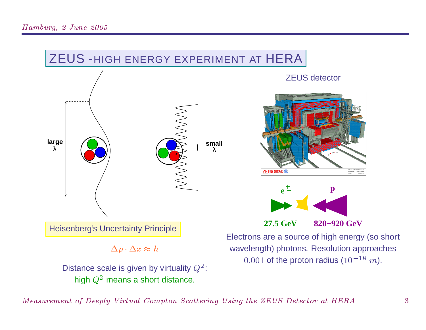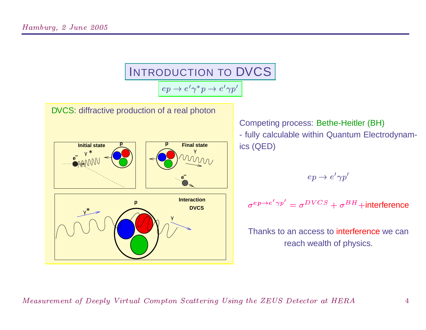

Competing process: Bethe-Heitler (BH) - fully calculable within Quantum Electrodynamics (QED)

$$
ep\rightarrow e'\gamma p'
$$

$$
\sigma^{ep \to e' \gamma p'} = \sigma^{DVCS} + \sigma^{BH} + \text{interference}
$$

Thanks to an access to <mark>interference</mark> we can reach wealth of physics.

 $\overline{A}$  and  $\overline{B}$  and  $\overline{B}$  and  $\overline{B}$  and  $\overline{B}$  and  $\overline{B}$  and  $\overline{B}$  and  $\overline{B}$  and  $\overline{B}$  and  $\overline{B}$  and  $\overline{B}$  and  $\overline{B}$  and  $\overline{B}$  and  $\overline{B}$  and  $\overline{B}$  and  $\overline{B}$  and  $\overline{B}$  and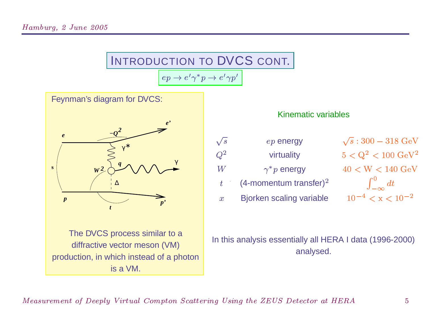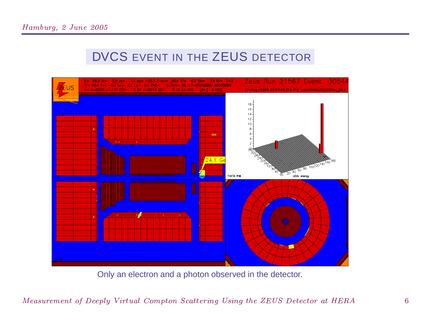## DVCS EVENT IN THE ZEUS DETECTOR



Only an electron and a photon observed in the detector.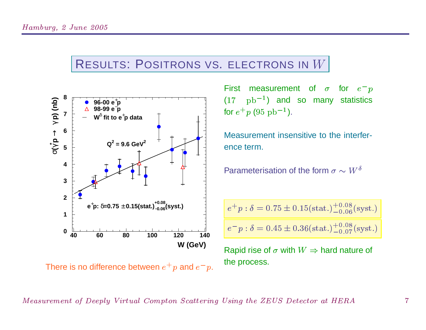## RESULTS: POSITRONS VS. ELECTRONS IN



First measurement of  ${\sigma}$  for  $e^ (17\quad {\rm pb^{-1}})$  and so many statistics<br>for  $e^+p$  (95  ${\rm pb^{-1}}$ ).<br>Measurement insensitive to the interferfor  $e^+p$  (95  ${\rm pb^{-1}}$ 

 ). Measurement insensitive to the interference term.

Parameterisation of the form  ${\sigma}\sim W^{\delta}$ 

$$
e^+p : \delta = 0.75 \pm 0.15 \text{(stat.)} ^{+0.08}_{-0.06} \text{(syst.)}
$$

 $e^- p$  :  $\delta = 0.45 \pm 0.36 \text{(stat.)} ^{+0.08}_{-0.07}$ syst.)

Rapid rise of  $\sigma$  with  $W \Rightarrow$  hard nature of the process.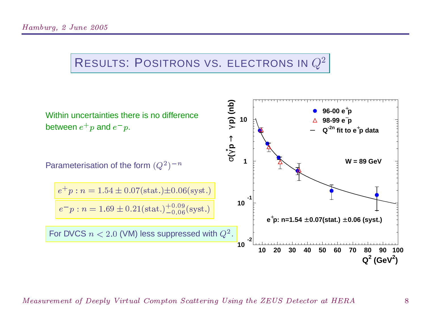# RESULTS: POSITRONS VS. ELECTRONS IN  $Q^2$



 $\alpha$  and  $\alpha$  and  $\alpha$  is the set of  $\alpha$  in  $\alpha$  in  $\alpha$  in  $\alpha$  in  $\alpha$  in  $\alpha$  in  $\alpha$  in  $\alpha$  in  $\alpha$  in  $\alpha$  in  $\alpha$  in  $\alpha$  in  $\alpha$  in  $\alpha$  in  $\alpha$  in  $\alpha$  in  $\alpha$  in  $\alpha$  in  $\alpha$  in  $\alpha$  in  $\alpha$  in  $\alpha$  in  $\alpha$  in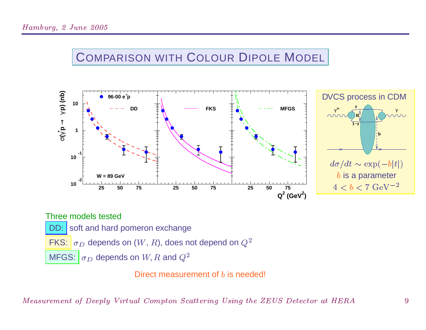## COMPARISON WITH COLOUR DIPOLE MODEL



Three models tested DD: soft and hard pomeron exchange FKS:  $\sigma_D$  depends on  $(W, R)$ , does not depend on  $Q^2$  $\sigma_D$  depends on  $W, R$  and  $Q^2$ **MFGS:** 

Direct measurement of  $b$  is needed!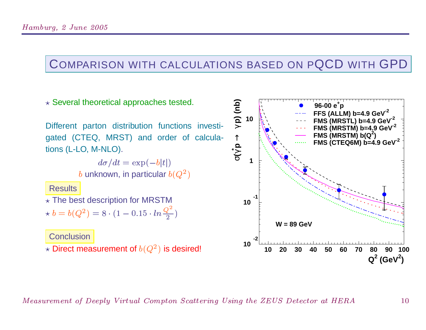### COMPARISON WITH CALCULATIONS BASED ON PQCD WITH GPD

 $\star$  Several theoretical approaches tested.

Different parton distribution functions investigated (CTEQ, MRST) and order of calculations (L-LO, M-NLO).

> $d\sigma/dt = \exp(-b|t|)$ b unknown, in particular  $b(Q^2)$

**Results** 

 $\star$  The best description for MRSTM

 $\star b = b(Q^2) = 8 \cdot (1 - 0.15 \cdot ln \frac{Q^2}{2})$ 

Conclusion  $\star$  Direct measurement of  $b(Q^2)$  is desired!